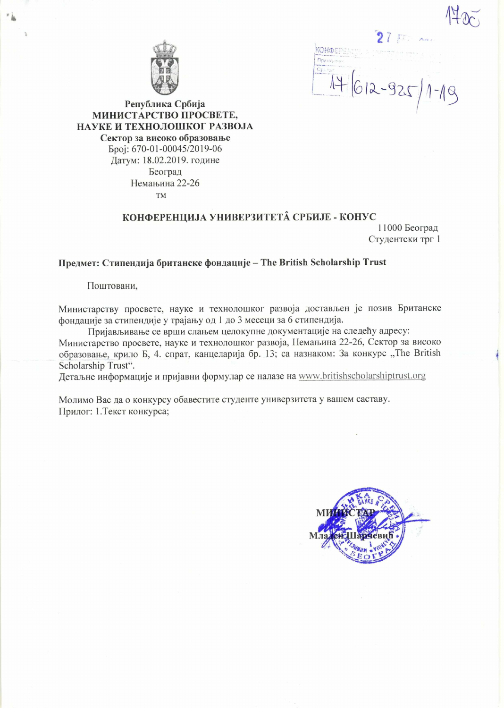$7 \, \mathrm{E}$   $\sim$   $\sim$ KOHOEPS  $4612-925$ 

Република Србија МИНИСТАРСТВО ПРОСВЕТЕ, НАУКЕ И ТЕХНОЛОШКОГ РАЗВОЈА Сектор за високо образовање Epoi: 670-01-00045/2019-06 Датум: 18.02.2019. године Београд Немањина 22-26 **TM** 

## КОНФЕРЕНЦИЈА УНИВЕРЗИТЕТА СРБИЈЕ - КОНУС

11000 Београд Студентски трг 1

Предмет: Стипендија британске фондације - The British Scholarship Trust

Поштовани,

Министарству просвете, науке и технолошког развоја достављен је позив Британске фондације за стипендије у трајању од 1 до 3 месеци за 6 стипендија.

Пријављивање се врши слањем целокупне документације на следећу адресу: Министарство просвете, науке и технолошког развоја, Немањина 22-26, Сектор за високо образовање, крило Б, 4. спрат, канцеларија бр. 13; са назнаком: За конкурс "The British Scholarship Trust".

Детаљне информације и пријавни формулар се налазе на www.britishscholarshiptrust.org

Молимо Вас да о конкурсу обавестите студенте универзитета у вашем саставу. Прилог: 1. Текст конкурса;

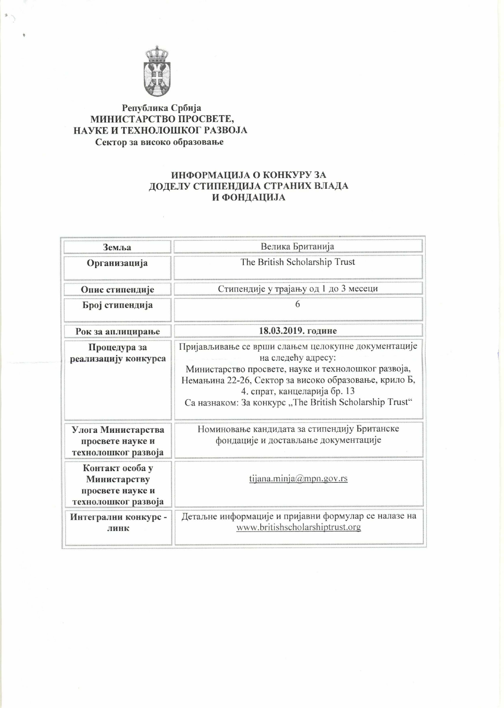

# Република Србија<br>МИНИСТАРСТВО ПРОСВЕТЕ, НАУКЕ И ТЕХНОЛОШКОГ РАЗВОЈА Сектор за високо образовање

## ИНФОРМАЦИЈА О КОНКУРУ ЗА ДОДЕЛУ СТИПЕНДИЈА СТРАНИХ ВЛАДА И ФОНДАЦИЈА

| Земља                                                                      | Велика Британија                                                                                                                                                                                                                                                                     |
|----------------------------------------------------------------------------|--------------------------------------------------------------------------------------------------------------------------------------------------------------------------------------------------------------------------------------------------------------------------------------|
| Организација                                                               | The British Scholarship Trust                                                                                                                                                                                                                                                        |
| Опис стипендије                                                            | Стипендије у трајању од 1 до 3 месеци                                                                                                                                                                                                                                                |
| Број стипендија                                                            | 6                                                                                                                                                                                                                                                                                    |
| Рок за аплицирање                                                          | 18.03.2019. године                                                                                                                                                                                                                                                                   |
| Процедура за<br>реализацију конкурса                                       | Пријављивање се врши слањем целокупне документације<br>на следећу адресу:<br>Министарство просвете, науке и технолошког развоја,<br>Немањина 22-26, Сектор за високо образовање, крило Б,<br>4. спрат, канцеларија бр. 13<br>Са назнаком: За конкурс "The British Scholarship Trust" |
| Улога Министарства<br>просвете науке и<br>технолошког развоја              | Номиновање кандидата за стипендију Британске<br>фондације и достављање документације                                                                                                                                                                                                 |
| Контакт особа у<br>Министарству<br>просвете науке и<br>технолошког развоја | tijana.minja@mpn.gov.rs                                                                                                                                                                                                                                                              |
| Интегрални конкурс -<br>линк                                               | Детаљне информације и пријавни формулар се налазе на<br>www.britishscholarshiptrust.org                                                                                                                                                                                              |